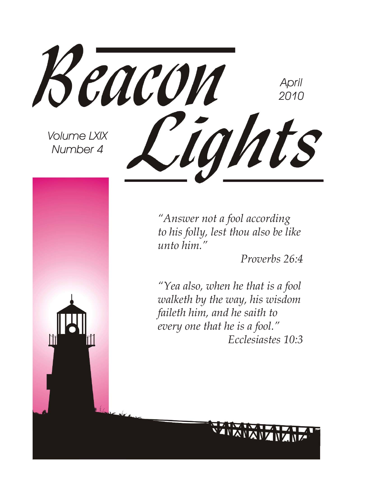

*"Answer not a fool according to his folly, lest thou also be like unto him."* 

*Proverbs 26:4*

*"Yea also, when he that is a fool walketh by the way, his wisdom faileth him, and he saith to every one that he is a fool." Ecclesiastes 10:3*

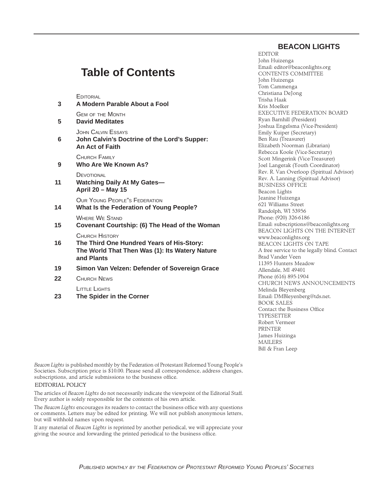#### **BEACON LIGHTS**

### **Table of Contents**

**EDITORIAL** 

| 3  | A Modern Parable About a Fool                                                                                                      |
|----|------------------------------------------------------------------------------------------------------------------------------------|
| 5  | <b>GEM OF THE MONTH</b><br><b>David Meditates</b>                                                                                  |
| 6  | JOHN CALVIN ESSAYS<br>John Calvin's Doctrine of the Lord's Supper:<br><b>An Act of Faith</b>                                       |
| 9  | CHURCH FAMILY<br>Who Are We Known As?                                                                                              |
| 11 | DEVOTIONAL<br><b>Watching Daily At My Gates-</b><br>April 20 - May 15                                                              |
| 14 | OUR YOUNG PEOPLE"S FEDERATION<br><b>What Is the Federation of Young People?</b>                                                    |
| 15 | <b>WHERE WE STAND</b><br>Covenant Courtship: (6) The Head of the Woman                                                             |
| 16 | <b>CHURCH HISTORY</b><br>The Third One Hundred Years of His-Story:<br>The World That Then Was (1): Its Watery Nature<br>and Plants |
| 19 | Simon Van Velzen: Defender of Sovereign Grace                                                                                      |
| 22 | <b>CHURCH NEWS</b>                                                                                                                 |

LITTLE LIGHTS

 **23 The Spider in the Corner**

EDITOR John Huizenga Email: editor@beaconlights.org CONTENTS COMMITTEE John Huizenga Tom Cammenga Christiana DeJong Trisha Haak Kris Moelker EXECUTIVE FEDERATION BOARD Ryan Barnhill (President) Joshua Engelsma (Vice-President) Emily Kuiper (Secretary) Ben Rau (Treasurer) Elizabeth Noorman (Librarian) Rebecca Koole (Vice-Secretary) Scott Mingerink (Vice-Treasurer) Joel Langerak (Youth Coordinator) Rev. R. Van Overloop (Spiritual Advisor) Rev. A. Lanning (Spiritual Advisor) BUSINESS OFFICE Beacon Lights Jeanine Huizenga 621 Williams Street Randolph, WI 53956 Phone: (920) 326-6186 Email: subscriptions@beaconlights.org BEACON LIGHTS ON THE INTERNET www.beaconlights.org BEACON LIGHTS ON TAPE A free service to the legally blind. Contact Brad Vander Veen 11395 Hunters Meadow Allendale, MI 49401 Phone (616) 895-1904 CHURCH NEWS ANNOUNCEMENTS Melinda Bleyenberg Email: DMBleyenberg@tds.net. BOOK SALES Contact the Business Office **TYPESETTER** Robert Vermeer PRINTER James Huizinga MAILERS Bill & Fran Leep

*Beacon Lights* is published monthly by the Federation of Protestant Reformed Young People's Societies. Subscription price is \$10.00. Please send all correspondence, address changes, subscriptions, and article submissions to the business office.

#### EDITORIAL POLICY

The articles of *Beacon Lights* do not necessarily indicate the viewpoint of the Editorial Staff. Every author is solely responsible for the contents of his own article.

The *Beacon Lights* encourages its readers to contact the business office with any questions or comments. Letters may be edited for printing. We will not publish anonymous letters, but will withhold names upon request.

If any material of *Beacon Lights* is reprinted by another periodical, we will appreciate your giving the source and forwarding the printed periodical to the business office.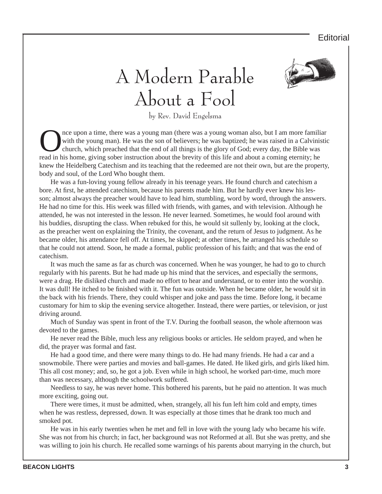#### **Editorial**

## A Modern Parable About a Fool



by Rev. David Engelsma

The upon a time, there was a young man (there was a young woman also, but I am more familiar with the young man). He was the son of believers; he was baptized; he was raised in a Calvinistic church, which preached that the with the young man). He was the son of believers; he was baptized; he was raised in a Calvinistic church, which preached that the end of all things is the glory of God; every day, the Bible was read in his home, giving sober instruction about the brevity of this life and about a coming eternity; he knew the Heidelberg Catechism and its teaching that the redeemed are not their own, but are the property, body and soul, of the Lord Who bought them.

He was a fun-loving young fellow already in his teenage years. He found church and catechism a bore. At first, he attended catechism, because his parents made him. But he hardly ever knew his lesson; almost always the preacher would have to lead him, stumbling, word by word, through the answers. He had no time for this. His week was filled with friends, with games, and with television. Although he attended, he was not interested in the lesson. He never learned. Sometimes, he would fool around with his buddies, disrupting the class. When rebuked for this, he would sit sullenly by, looking at the clock, as the preacher went on explaining the Trinity, the covenant, and the return of Jesus to judgment. As he became older, his attendance fell off. At times, he skipped; at other times, he arranged his schedule so that he could not attend. Soon, he made a formal, public profession of his faith; and that was the end of catechism.

It was much the same as far as church was concerned. When he was younger, he had to go to church regularly with his parents. But he had made up his mind that the services, and especially the sermons, were a drag. He disliked church and made no effort to hear and understand, or to enter into the worship. It was dull! He itched to be finished with it. The fun was outside. When he became older, he would sit in the back with his friends. There, they could whisper and joke and pass the time. Before long, it became customary for him to skip the evening service altogether. Instead, there were parties, or television, or just driving around.

Much of Sunday was spent in front of the T.V. During the football season, the whole afternoon was devoted to the games.

He never read the Bible, much less any religious books or articles. He seldom prayed, and when he did, the prayer was formal and fast.

He had a good time, and there were many things to do. He had many friends. He had a car and a snowmobile. There were parties and movies and ball-games. He dated. He liked girls, and girls liked him. This all cost money; and, so, he got a job. Even while in high school, he worked part-time, much more than was necessary, although the schoolwork suffered.

Needless to say, he was never home. This bothered his parents, but he paid no attention. It was much more exciting, going out.

There were times, it must be admitted, when, strangely, all his fun left him cold and empty, times when he was restless, depressed, down. It was especially at those times that he drank too much and smoked pot.

He was in his early twenties when he met and fell in love with the young lady who became his wife. She was not from his church; in fact, her background was not Reformed at all. But she was pretty, and she was willing to join his church. He recalled some warnings of his parents about marrying in the church, but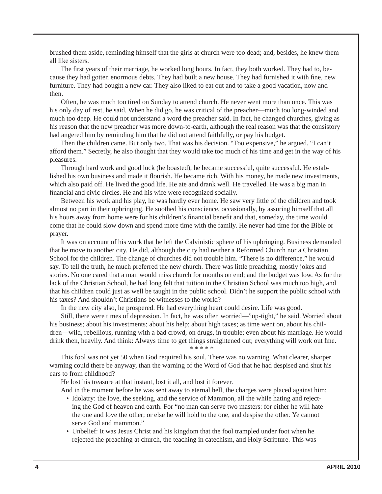brushed them aside, reminding himself that the girls at church were too dead; and, besides, he knew them all like sisters.

The first years of their marriage, he worked long hours. In fact, they both worked. They had to, because they had gotten enormous debts. They had built a new house. They had furnished it with fine, new furniture. They had bought a new car. They also liked to eat out and to take a good vacation, now and then.

Often, he was much too tired on Sunday to attend church. He never went more than once. This was his only day of rest, he said. When he did go, he was critical of the preacher—much too long-winded and much too deep. He could not understand a word the preacher said. In fact, he changed churches, giving as his reason that the new preacher was more down-to-earth, although the real reason was that the consistory had angered him by reminding him that he did not attend faithfully, or pay his budget.

Then the children came. But only two. That was his decision. "Too expensive," he argued. "I can't afford them." Secretly, he also thought that they would take too much of his time and get in the way of his pleasures.

Through hard work and good luck (he boasted), he became successful, quite successful. He established his own business and made it flourish. He became rich. With his money, he made new investments, which also paid off. He lived the good life. He ate and drank well. He travelled. He was a big man in financial and civic circles. He and his wife were recognized socially.

Between his work and his play, he was hardly ever home. He saw very little of the children and took almost no part in their upbringing. He soothed his conscience, occasionally, by assuring himself that all his hours away from home were for his children's financial benefit and that, someday, the time would come that he could slow down and spend more time with the family. He never had time for the Bible or prayer.

It was on account of his work that he left the Calvinistic sphere of his upbringing. Business demanded that he move to another city. He did, although the city had neither a Reformed Church nor a Christian School for the children. The change of churches did not trouble him. "There is no difference," he would say. To tell the truth, he much preferred the new church. There was little preaching, mostly jokes and stories. No one cared that a man would miss church for months on end; and the budget was low. As for the lack of the Christian School, he had long felt that tuition in the Christian School was much too high, and that his children could just as well be taught in the public school. Didn't he support the public school with his taxes? And shouldn't Christians be witnesses to the world?

In the new city also, he prospered. He had everything heart could desire. Life was good.

Still, there were times of depression. In fact, he was often worried—"up-tight," he said. Worried about his business; about his investments; about his help; about high taxes; as time went on, about his children—wild, rebellious, running with a bad crowd, on drugs, in trouble; even about his marriage. He would drink then, heavily. And think: Always time to get things straightened out; everything will work out fine. \* \* \* \* \*

This fool was not yet 50 when God required his soul. There was no warning. What clearer, sharper warning could there be anyway, than the warning of the Word of God that he had despised and shut his ears to from childhood?

He lost his treasure at that instant, lost it all, and lost it forever.

And in the moment before he was sent away to eternal hell, the charges were placed against him:

- Idolatry: the love, the seeking, and the service of Mammon, all the while hating and rejecting the God of heaven and earth. For "no man can serve two masters: for either he will hate the one and love the other; or else he will hold to the one, and despise the other. Ye cannot serve God and mammon."
- Unbelief: It was Jesus Christ and his kingdom that the fool trampled under foot when he rejected the preaching at church, the teaching in catechism, and Holy Scripture. This was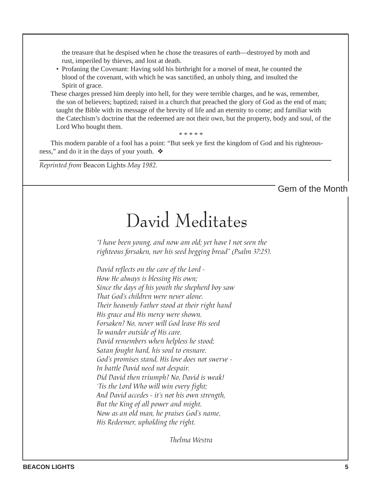the treasure that he despised when he chose the treasures of earth—destroyed by moth and rust, imperiled by thieves, and lost at death.

• Profaning the Covenant: Having sold his birthright for a morsel of meat, he counted the blood of the covenant, with which he was sanctified, an unholy thing, and insulted the Spirit of grace.

These charges pressed him deeply into hell, for they were terrible charges, and he was, remember, the son of believers; baptized; raised in a church that preached the glory of God as the end of man; taught the Bible with its message of the brevity of life and an eternity to come; and familiar with the Catechism's doctrine that the redeemed are not their own, but the property, body and soul, of the Lord Who bought them.

\* \* \* \* \*

This modern parable of a fool has a point: "But seek ye first the kingdom of God and his righteousness," and do it in the days of your youth. ❖

*Reprinted from* Beacon Lights *May 1982.*

Gem of the Month

### David Meditates

*"I have been young, and now am old; yet have I not seen the righteous forsaken, nor his seed begging bread" (Psalm 37:25).*

*David reflects on the care of the Lord - How He always is blessing His own; Since the days of his youth the shepherd boy saw That God's children were never alone. Their heavenly Father stood at their right hand His grace and His mercy were shown. Forsaken? No, never will God leave His seed To wander outside of His care. David remembers when helpless he stood; Satan fought hard, his soul to ensnare. God's promises stand, His love does not swerve - In battle David need not despair. Did David then triumph? No, David is weak! 'Tis the Lord Who will win every fight; And David accedes - it's not his own strength, But the King of all power and might. Now as an old man, he praises God's name, His Redeemer, upholding the right.*

 *Thelma Westra*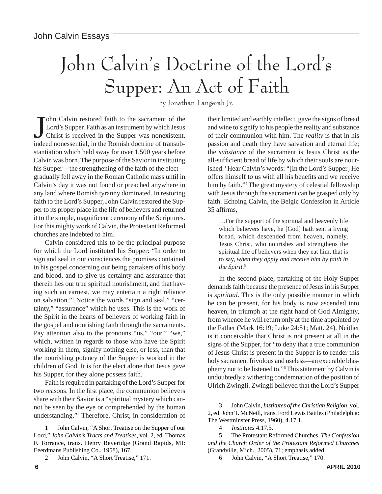# John Calvin's Doctrine of the Lord's Supper: An Act of Faith

by Jonathan Langerak Jr.

John Calvin restored faith to the sacrament of the Lord's Supper. Faith as an instrument by which Jesus Christ is received in the Supper was nonexistent, indeed nonessential, in the Romish doctrine of transubohn Calvin restored faith to the sacrament of the Lord's Supper. Faith as an instrument by which Jesus Christ is received in the Supper was nonexistent, stantiation which held sway for over 1,500 years before Calvin was born. The purpose of the Savior in instituting his Supper—the strengthening of the faith of the elect gradually fell away in the Roman Catholic mass until in Calvin's day it was not found or preached anywhere in any land where Romish tyranny dominated. In restoring faith to the Lord's Supper, John Calvin restored the Supper to its proper place in the life of believers and returned it to the simple, magnificent ceremony of the Scriptures. For this mighty work of Calvin, the Protestant Reformed churches are indebted to him.

Calvin considered this to be the principal purpose for which the Lord instituted his Supper: "In order to sign and seal in our consciences the promises contained in his gospel concerning our being partakers of his body and blood, and to give us certainty and assurance that therein lies our true spiritual nourishment, and that having such an earnest, we may entertain a right reliance on salvation."1 Notice the words "sign and seal," "certainty," "assurance" which he uses. This is the work of the Spirit in the hearts of believers of working faith in the gospel and nourishing faith through the sacraments. Pay attention also to the pronouns "us," "our," "we," which, written in regards to those who have the Spirit working in them, signify nothing else, or less, than that the nourishing potency of the Supper is worked in the children of God. It is for the elect alone that Jesus gave his Supper, for they alone possess faith.

Faith is required in partaking of the Lord's Supper for two reasons. In the first place, the communion believers share with their Savior is a "spiritual mystery which cannot be seen by the eye or comprehended by the human understanding."2 Therefore, Christ, in consideration of their limited and earthly intellect, gave the signs of bread and wine to signify to his people the reality and substance of their communion with him. The *reality* is that in his passion and death they have salvation and eternal life; the *substance* of the sacrament is Jesus Christ as the all-sufficient bread of life by which their souls are nourished.3 Hear Calvin's words: "[In the Lord's Supper] He offers himself to us with all his benefits and we receive him by faith."4 The great mystery of celestial fellowship with Jesus through the sacrament can be grasped only by faith. Echoing Calvin, the Belgic Confession in Article 35 affirms.

…For the support of the spiritual and heavenly life which believers have, he [God] hath sent a living bread, which descended from heaven, namely, Jesus Christ, who nourishes and strengthens the spiritual life of believers when they eat him, that is to say, *when they apply and receive him by faith in the Spirit*. 5

In the second place, partaking of the Holy Supper demands faith because the presence of Jesus in his Supper is *spiritual*. This is the only possible manner in which he can be present, for his body is now ascended into heaven, in triumph at the right hand of God Almighty, from whence he will return only at the time appointed by the Father (Mark 16:19; Luke 24:51; Matt. 24). Neither is it conceivable that Christ is not present at all in the signs of the Supper, for "to deny that a true communion of Jesus Christ is present in the Supper is to render this holy sacrament frivolous and useless—an execrable blasphemy not to be listened to."6 This statement by Calvin is undoubtedly a withering condemnation of the position of Ulrich Zwingli. Zwingli believed that the Lord's Supper

3 John Calvin, *Institutes of the Christian Religion*, vol. 2, ed. John T. McNeill, trans. Ford Lewis Battles (Philadelphia: The Westminster Press, 1960), 4.17.1.

4 *Institutes* 4.17.5.

5 The Protestant Reformed Churches, *The Confession and the Church Order of the Protestant Reformed Churches* (Grandville, Mich., 2005), 71; emphasis added.

6 John Calvin, "A Short Treatise," 170.

<sup>1</sup> John Calvin, "A Short Treatise on the Supper of our Lord," *John Calvin's Tracts and Treatises*, vol. 2, ed. Thomas F. Torrance, trans. Henry Beveridge (Grand Rapids, MI: Eeerdmans Publishing Co., 1958), 167.

<sup>2</sup> John Calvin, "A Short Treatise," 171.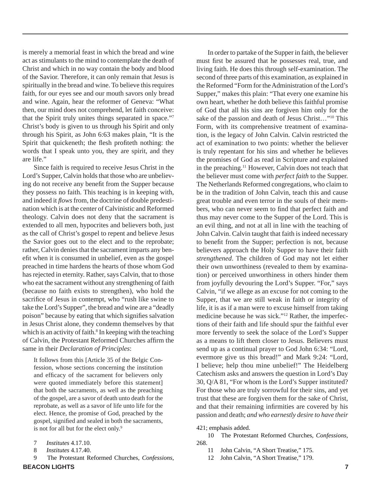is merely a memorial feast in which the bread and wine act as stimulants to the mind to contemplate the death of Christ and which in no way contain the body and blood of the Savior. Therefore, it can only remain that Jesus is spiritually in the bread and wine. To believe this requires faith, for our eyes see and our mouth savors only bread and wine. Again, hear the reformer of Geneva: "What then, our mind does not comprehend, let faith conceive: that the Spirit truly unites things separated in space."7 Christ's body is given to us through his Spirit and only through his Spirit, as John 6:63 makes plain, "It is the Spirit that quickeneth; the flesh profiteth nothing: the words that I speak unto you, they are spirit, and they are life."

Since faith is required to receive Jesus Christ in the Lord's Supper, Calvin holds that those who are unbelieving do not receive any benefit from the Supper because they possess no faith. This teaching is in keeping with, and indeed it *flows* from, the doctrine of double predestination which is at the center of Calvinistic and Reformed theology. Calvin does not deny that the sacrament is extended to all men, hypocrites and believers both, just as the call of Christ's gospel to repent and believe Jesus the Savior goes out to the elect and to the reprobate; rather, Calvin denies that the sacrament imparts any benefit when it is consumed in unbelief, even as the gospel preached in time hardens the hearts of those whom God has rejected in eternity. Rather, says Calvin, that to those who eat the sacrament without any strengthening of faith (because no faith exists to strengthen), who hold the sacrifice of Jesus in contempt, who "rush like swine to take the Lord's Supper", the bread and wine are a "deadly poison" because by eating that which signifies salvation in Jesus Christ alone, they condemn themselves by that which is an activity of faith.<sup>8</sup> In keeping with the teaching of Calvin, the Protestant Reformed Churches affirm the same in their *Declaration of Principles*:

It follows from this [Article 35 of the Belgic Confession, whose sections concerning the institution and efficacy of the sacrament for believers only were quoted immediately before this statement] that both the sacraments, as well as the preaching of the gospel, are a savor of death unto death for the reprobate, as well as a savor of life unto life for the elect. Hence, the promise of God, preached by the gospel, signified and sealed in both the sacraments, is not for all but for the elect only.<sup>9</sup>

- 7 *Institutes* 4.17.10.
- 8 *Institutes* 4.17.40.
- **BEACON LIGHTS 7** 9 The Protestant Reformed Churches, *Confessions*,

In order to partake of the Supper in faith, the believer must first be assured that he possesses real, true, and living faith. He does this through self-examination. The second of three parts of this examination, as explained in the Reformed "Form for the Administration of the Lord's Supper," makes this plain: "That every one examine his own heart, whether he doth believe this faithful promise of God that all his sins are forgiven him only for the sake of the passion and death of Jesus Christ…"10 This Form, with its comprehensive treatment of examination, is the legacy of John Calvin. Calvin restricted the act of examination to two points: whether the believer is truly repentant for his sins and whether he believes the promises of God as read in Scripture and explained in the preaching.11 However, Calvin does not teach that the believer must come with *perfect faith* to the Supper. The Netherlands Reformed congregations, who claim to be in the tradition of John Calvin, teach this and cause great trouble and even terror in the souls of their members, who can never seem to find that perfect faith and thus may never come to the Supper of the Lord. This is an evil thing, and not at all in line with the teaching of John Calvin. Calvin taught that faith is indeed necessary to benefit from the Supper; perfection is not, because believers approach the Holy Supper to have their faith *strengthened*. The children of God may not let either their own unworthiness (revealed to them by examination) or perceived unworthiness in others hinder them from joyfully devouring the Lord's Supper. "For," says Calvin, "if we allege as an excuse for not coming to the Supper, that we are still weak in faith or integrity of life, it is as if a man were to excuse himself from taking medicine because he was sick."12 Rather, the imperfections of their faith and life should spur the faithful ever more fervently to seek the solace of the Lord's Supper as a means to lift them closer to Jesus. Believers must send up as a continual prayer to God John 6:34: "Lord, evermore give us this bread!" and Mark 9:24: "Lord, I believe; help thou mine unbelief!" The Heidelberg Catechism asks and answers the question in Lord's Day 30, Q/A 81, "For whom is the Lord's Supper instituted? For those who are truly sorrowful for their sins, and yet trust that these are forgiven them for the sake of Christ, and that their remaining infirmities are covered by his passion and death; *and who earnestly desire to have their* 

421; emphasis added.

- 10 The Protestant Reformed Churches, *Confessions*, 268.
	- 11 John Calvin, "A Short Treatise," 175.
	- 12 John Calvin, "A Short Treatise," 179.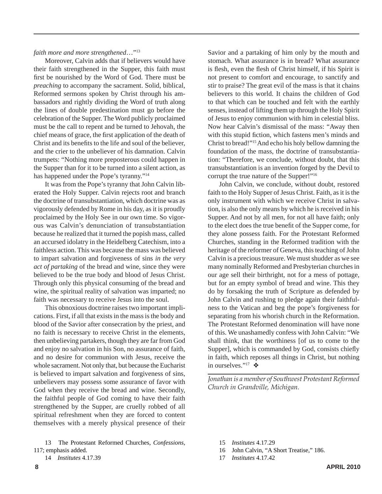#### *faith more and more strengthened*…"13

Moreover, Calvin adds that if believers would have their faith strengthened in the Supper, this faith must first be nourished by the Word of God. There must be *preaching* to accompany the sacrament. Solid, biblical, Reformed sermons spoken by Christ through his ambassadors and rightly dividing the Word of truth along the lines of double predestination must go before the celebration of the Supper. The Word publicly proclaimed must be the call to repent and be turned to Jehovah, the chief means of grace, the first application of the death of Christ and its benefits to the life and soul of the believer, and the crier to the unbeliever of his damnation. Calvin trumpets: "Nothing more preposterous could happen in the Supper than for it to be turned into a silent action, as has happened under the Pope's tyranny."14

It was from the Pope's tyranny that John Calvin liberated the Holy Supper. Calvin rejects root and branch the doctrine of transubstantiation, which doctrine was as vigorously defended by Rome in his day, as it is proudly proclaimed by the Holy See in our own time. So vigorous was Calvin's denunciation of transubstantiation because he realized that it turned the popish mass, called an accursed idolatry in the Heidelberg Catechism, into a faithless action. This was because the mass was believed to impart salvation and forgiveness of sins *in the very act of partaking* of the bread and wine, since they were believed to be the true body and blood of Jesus Christ. Through only this physical consuming of the bread and wine, the spiritual reality of salvation was imparted; no faith was necessary to receive Jesus into the soul.

This obnoxious doctrine raises two important implications. First, if all that exists in the mass is the body and blood of the Savior after consecration by the priest, and no faith is necessary to receive Christ in the elements, then unbelieving partakers, though they are far from God and enjoy no salvation in his Son, no assurance of faith, and no desire for communion with Jesus, receive the whole sacrament. Not only that, but because the Eucharist is believed to impart salvation and forgiveness of sins, unbelievers may possess some assurance of favor with God when they receive the bread and wine. Secondly, the faithful people of God coming to have their faith strengthened by the Supper, are cruelly robbed of all spiritual refreshment when they are forced to content themselves with a merely physical presence of their

Savior and a partaking of him only by the mouth and stomach. What assurance is in bread? What assurance is flesh, even the flesh of Christ himself, if his Spirit is not present to comfort and encourage, to sanctify and stir to praise? The great evil of the mass is that it chains believers to this world. It chains the children of God to that which can be touched and felt with the earthly senses, instead of lifting them up through the Holy Spirit of Jesus to enjoy communion with him in celestial bliss. Now hear Calvin's dismissal of the mass: "Away then with this stupid fiction, which fastens men's minds and Christ to bread!"15 And echo his holy bellow damning the foundation of the mass, the doctrine of transubstantiation: "Therefore, we conclude, without doubt, that this transubstantiation is an invention forged by the Devil to corrupt the true nature of the Supper!"16

John Calvin, we conclude, without doubt, restored faith to the Holy Supper of Jesus Christ. Faith, as it is the only instrument with which we receive Christ in salvation, is also the only means by which he is received in his Supper. And not by all men, for not all have faith; only to the elect does the true benefit of the Supper come, for they alone possess faith. For the Protestant Reformed Churches, standing in the Reformed tradition with the heritage of the reformer of Geneva, this teaching of John Calvin is a precious treasure. We must shudder as we see many nominally Reformed and Presbyterian churches in our age sell their birthright, not for a mess of pottage, but for an empty symbol of bread and wine. This they do by forsaking the truth of Scripture as defended by John Calvin and rushing to pledge again their faithfulness to the Vatican and beg the pope's forgiveness for separating from his whorish church in the Reformation. The Protestant Reformed denomination will have none of this. We unashamedly confess with John Calvin: "We shall think, that the worthiness [of us to come to the Supper], which is commanded by God, consists chiefly in faith, which reposes all things in Christ, but nothing in ourselves."<sup>17</sup>  $\clubsuit$ 

*Jonathan is a member of Southwest Protestant Reformed Church in Grandville, Michigan.*

- 15 *Institutes* 4.17.29
- 16 John Calvin, "A Short Treatise," 186.
- 17 *Institutes* 4.17.42

<sup>13</sup> The Protestant Reformed Churches, *Confessions*, 117; emphasis added.

<sup>14</sup> *Institutes* 4.17.39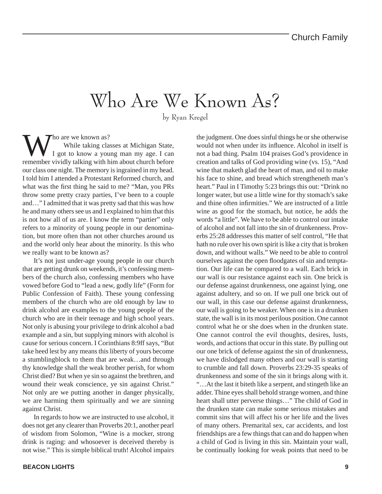### Who Are We Known As?

by Ryan Kregel

Who are we known as?<br>
I got to know a young man my age. I can<br>
remember wividly talking with him shout shursh hefers While taking classes at Michigan State, remember vividly talking with him about church before our class one night. The memory is ingrained in my head. I told him I attended a Protestant Reformed church, and what was the first thing he said to me? "Man, you PRs throw some pretty crazy parties, I've been to a couple and…" I admitted that it was pretty sad that this was how he and many others see us and I explained to him that this is not how all of us are. I know the term "partier" only refers to a minority of young people in our denomination, but more often than not other churches around us and the world only hear about the minority. Is this who we really want to be known as?

It's not just under-age young people in our church that are getting drunk on weekends, it's confessing members of the church also, confessing members who have vowed before God to "lead a new, godly life" (Form for Public Confession of Faith). These young confessing members of the church who are old enough by law to drink alcohol are examples to the young people of the church who are in their teenage and high school years. Not only is abusing your privilege to drink alcohol a bad example and a sin, but supplying minors with alcohol is cause for serious concern. I Corinthians 8:9ff says, "But take heed lest by any means this liberty of yours become a stumblingblock to them that are weak…and through thy knowledge shall the weak brother perish, for whom Christ died? But when ye sin so against the brethren, and wound their weak conscience, ye sin against Christ." Not only are we putting another in danger physically, we are harming them spiritually and we are sinning against Christ.

In regards to how we are instructed to use alcohol, it does not get any clearer than Proverbs 20:1, another pearl of wisdom from Solomon, "Wine is a mocker, strong drink is raging: and whosoever is deceived thereby is not wise." This is simple biblical truth! Alcohol impairs

**BEACON LIGHTS 9**

the judgment. One does sinful things he or she otherwise would not when under its influence. Alcohol in itself is not a bad thing. Psalm 104 praises God's providence in creation and talks of God providing wine (vs. 15), "And wine that maketh glad the heart of man, and oil to make his face to shine, and bread which strengtheneth man's heart." Paul in I Timothy 5:23 brings this out: "Drink no longer water, but use a little wine for thy stomach's sake and thine often infirmities." We are instructed of a little wine as good for the stomach, but notice, he adds the words "a little". We have to be able to control our intake of alcohol and not fall into the sin of drunkenness. Proverbs 25:28 addresses this matter of self control, "He that hath no rule over his own spirit is like a city that is broken down, and without walls." We need to be able to control ourselves against the open floodgates of sin and temptation. Our life can be compared to a wall. Each brick in our wall is our resistance against each sin. One brick is our defense against drunkenness, one against lying, one against adultery, and so on. If we pull one brick out of our wall, in this case our defense against drunkenness, our wall is going to be weaker. When one is in a drunken state, the wall is in its most perilous position. One cannot control what he or she does when in the drunken state. One cannot control the evil thoughts, desires, lusts, words, and actions that occur in this state. By pulling out our one brick of defense against the sin of drunkenness, we have dislodged many others and our wall is starting to crumble and fall down. Proverbs 23:29-35 speaks of drunkenness and some of the sin it brings along with it. "…At the last it biteth like a serpent, and stingeth like an adder. Thine eyes shall behold strange women, and thine heart shall utter perverse things…" The child of God in the drunken state can make some serious mistakes and commit sins that will affect his or her life and the lives of many others. Premarital sex, car accidents, and lost friendships are a few things that can and do happen when a child of God is living in this sin. Maintain your wall, be continually looking for weak points that need to be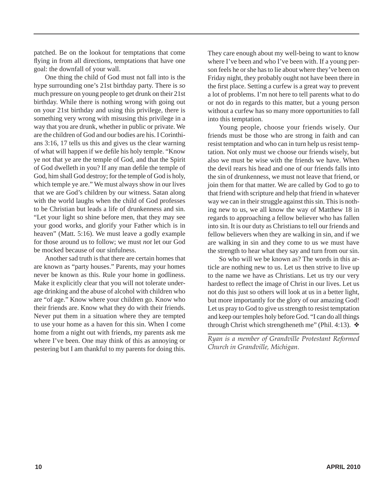patched. Be on the lookout for temptations that come flying in from all directions, temptations that have one goal: the downfall of your wall.

One thing the child of God must not fall into is the hype surrounding one's 21st birthday party. There is *so* much pressure on young people to get drunk on their 21st birthday. While there is nothing wrong with going out on your 21st birthday and using this privilege, there is something very wrong with misusing this privilege in a way that you are drunk, whether in public or private. We are the children of God and our bodies are his. I Corinthians 3:16, 17 tells us this and gives us the clear warning of what will happen if we defile his holy temple. "Know ye not that ye are the temple of God, and that the Spirit of God dwelleth in you? If any man defile the temple of God, him shall God destroy; for the temple of God is holy, which temple ye are." We must always show in our lives that we are God's children by our witness. Satan along with the world laughs when the child of God professes to be Christian but leads a life of drunkenness and sin. "Let your light so shine before men, that they may see your good works, and glorify your Father which is in heaven" (Matt. 5:16). We must leave a godly example for those around us to follow; we must *not* let our God be mocked because of our sinfulness.

Another sad truth is that there are certain homes that are known as "party houses." Parents, may your homes never be known as this. Rule your home in godliness. Make it explicitly clear that you will not tolerate underage drinking and the abuse of alcohol with children who are "of age." Know where your children go. Know who their friends are. Know what they do with their friends. Never put them in a situation where they are tempted to use your home as a haven for this sin. When I come home from a night out with friends, my parents ask me where I've been. One may think of this as annoying or pestering but I am thankful to my parents for doing this.

They care enough about my well-being to want to know where I've been and who I've been with. If a young person feels he or she has to lie about where they've been on Friday night, they probably ought not have been there in the first place. Setting a curfew is a great way to prevent a lot of problems. I'm not here to tell parents what to do or not do in regards to this matter, but a young person without a curfew has so many more opportunities to fall into this temptation.

Young people, choose your friends wisely. Our friends must be those who are strong in faith and can resist temptation and who can in turn help us resist temptation. Not only must we choose our friends wisely, but also we must be wise with the friends we have. When the devil rears his head and one of our friends falls into the sin of drunkenness, we must not leave that friend, or join them for that matter. We are called by God to go to that friend with scripture and help that friend in whatever way we can in their struggle against this sin. This is nothing new to us, we all know the way of Matthew 18 in regards to approaching a fellow believer who has fallen into sin. It is our duty as Christians to tell our friends and fellow believers when they are walking in sin, and if we are walking in sin and they come to us we must have the strength to hear what they say and turn from our sin.

So who will we be known as? The words in this article are nothing new to us. Let us then strive to live up to the name we have as Christians. Let us try our very hardest to reflect the image of Christ in our lives. Let us not do this just so others will look at us in a better light, but more importantly for the glory of our amazing God! Let us pray to God to give us strength to resist temptation and keep our temples holy before God. "I can do all things through Christ which strengtheneth me" (Phil. 4:13). ❖

*Ryan is a member of Grandville Protestant Reformed Church in Grandville, Michigan.*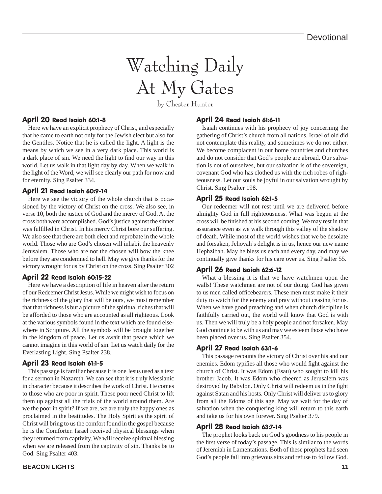# Watching Daily At My Gates

by Chester Hunter

#### April 20 Read Isaiah 60:1-8

Here we have an explicit prophecy of Christ, and especially that he came to earth not only for the Jewish elect but also for the Gentiles. Notice that he is called the light. A light is the means by which we see in a very dark place. This world is a dark place of sin. We need the light to find our way in this world. Let us walk in that light day by day. When we walk in the light of the Word, we will see clearly our path for now and for eternity. Sing Psalter 334.

#### April 21 Read Isaiah 60:9-14

Here we see the victory of the whole church that is occasioned by the victory of Christ on the cross. We also see, in verse 10, both the justice of God and the mercy of God. At the cross both were accomplished. God's justice against the sinner was fulfilled in Christ. In his mercy Christ bore our suffering. We also see that there are both elect and reprobate in the whole world. Those who are God's chosen will inhabit the heavenly Jerusalem. Those who are not the chosen will bow the knee before they are condemned to hell. May we give thanks for the victory wrought for us by Christ on the cross. Sing Psalter 302

#### April 22 Read Isaiah 60:15-22

Here we have a description of life in heaven after the return of our Redeemer Christ Jesus. While we might wish to focus on the richness of the glory that will be ours, we must remember that that richness is but a picture of the spiritual riches that will be afforded to those who are accounted as all righteous. Look at the various symbols found in the text which are found elsewhere in Scripture. All the symbols will be brought together in the kingdom of peace. Let us await that peace which we cannot imagine in this world of sin. Let us watch daily for the Everlasting Light. Sing Psalter 238.

#### April 23 Read Isaiah 61:1-5

This passage is familiar because it is one Jesus used as a text for a sermon in Nazareth. We can see that it is truly Messianic in character because it describes the work of Christ. He comes to those who are poor in spirit. These poor need Christ to lift them up against all the trials of the world around them. Are we the poor in spirit? If we are, we are truly the happy ones as proclaimed in the beatitudes. The Holy Spirit as the spirit of Christ will bring to us the comfort found in the gospel because he is the Comforter. Israel received physical blessings when they returned from captivity. We will receive spiritual blessing when we are released from the captivity of sin. Thanks be to God. Sing Psalter 403.

#### **BEACON LIGHTS** 11

#### April 24 Read Isaiah 61:6-11

Isaiah continues with his prophecy of joy concerning the gathering of Christ's church from all nations. Israel of old did not contemplate this reality, and sometimes we do not either. We become complacent in our home countries and churches and do not consider that God's people are abroad. Our salvation is not of ourselves, but our salvation is of the sovereign, covenant God who has clothed us with the rich robes of righteousness. Let our souls be joyful in our salvation wrought by Christ. Sing Psalter 198.

#### April 25 Read Isaiah 62:1-5

Our redeemer will not rest until we are delivered before almighty God in full righteousness. What was begun at the cross will be finished at his second coming. We may rest in that assurance even as we walk through this valley of the shadow of death. While most of the world wishes that we be desolate and forsaken, Jehovah's delight is in us, hence our new name Hephzibah. May he bless us each and every day, and may we continually give thanks for his care over us. Sing Psalter 55.

#### April 26 Read Isaiah 62:6-12

What a blessing it is that we have watchmen upon the walls! These watchmen are not of our doing. God has given to us men called officebearers. These men must make it their duty to watch for the enemy and pray without ceasing for us. When we have good preaching and when church discipline is faithfully carried out, the world will know that God is with us. Then we will truly be a holy people and not forsaken. May God continue to be with us and may we esteem those who have been placed over us. Sing Psalter 354.

#### April 27 Read Isaiah 63:1-6

This passage recounts the victory of Christ over his and our enemies. Edom typifies all those who would fight against the church of Christ. It was Edom (Esau) who sought to kill his brother Jacob. It was Edom who cheered as Jerusalem was destroyed by Babylon. Only Christ will redeem us in the fight against Satan and his hosts. Only Christ will deliver us to glory from all the Edoms of this age. May we wait for the day of salvation when the conquering king will return to this earth and take us for his own forever. Sing Psalter 379.

#### April 28 Read Isaiah 63:7-14

The prophet looks back on God's goodness to his people in the first verse of today's passage. This is similar to the words of Jeremiah in Lamentations. Both of these prophets had seen God's people fall into grievous sins and refuse to follow God.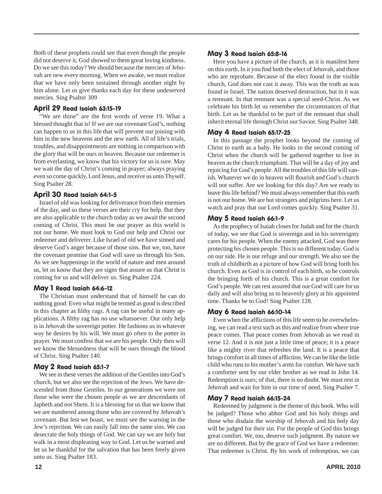Both of these prophets could see that even though the people did not deserve it, God showed to them great loving kindness. Do we see this today? We should because the mercies of Jehovah are new every morning. When we awake, we must realize that we have only been sustained through another night by him alone. Let us give thanks each day for these undeserved mercies. Sing Psalter 309

#### April 29 Read Isaiah 63:15-19

"We are thine" are the first words of verse 19. What a blessed thought that is! If we are our covenant God's, nothing can happen to us in this life that will prevent our joining with him in the new heavens and the new earth. All of life's trials, troubles, and disappointments are nothing in comparison with the glory that will be ours in heaven. Because our redeemer is from everlasting, we know that his victory for us is sure. May we wait the day of Christ's coming in prayer; always praying even so come quickly, Lord Jesus, and receive us unto Thyself. Sing Psalter 28.

#### April 30 Read Isaiah 64:1-5

Israel of old was looking for deliverance from their enemies of the day, and so these verses are their cry for help. But they are also applicable to the church today as we await the second coming of Christ. This must be our prayer as this world is not our home. We must look to God our help and Christ our redeemer and deliverer. Like Israel of old we have sinned and deserve God's anger because of those sins. But we, too, have the covenant promise that God will save us through his Son. As we see happenings in the world of nature and men around us, let us know that they are signs that assure us that Christ is coming for us and will deliver us. Sing Psalter 224.

#### May 1 Read Isaiah 64:6-12

The Christian must understand that of himself he can do nothing good. Even what might be termed as good is described in this chapter as filthy rags. A rag can be useful in many applications. A filthy rag has no use whatsoever. Our only help is in Jehovah the sovereign potter. He fashions us in whatever way he desires by his will. We must go often to the potter in prayer. We must confess that we are his people. Only then will we know the blessedness that will be ours through the blood of Christ. Sing Psalter 140.

#### May 2 Read Isaiah 65:1-7

We see in these verses the addition of the Gentiles into God's church, but we also see the rejection of the Jews. We have descended from those Gentiles. In our generations we were not those who were the chosen people as we are descendants of Japheth and not Shem. It is a blessing for us that we know that we are numbered among those who are covered by Jehovah's covenant. But lest we boast, we must see the warning in the Jew's rejection. We can easily fall into the same sins. We can desecrate the holy things of God. We can say we are holy but walk in a most displeasing way to God. Let us be warned and let us be thankful for the salvation that has been freely given unto us. Sing Psalter 183.

#### May 3 Read Isaiah 65:8-16

Here you have a picture of the church, as it is manifest here on this earth. In it you find both the elect of Jehovah, and those who are reprobate. Because of the elect found in the visible church, God does not cast it away. This was the truth as was found in Israel. The nation deserved destruction, but in it was a remnant. In that remnant was a special seed-Christ. As we celebrate his birth let us remember the circumstances of that birth. Let us be thankful to be part of the remnant that shall inherit eternal life through Christ our Savior. Sing Psalter 348.

#### May 4 Read Isaiah 65:17-25

In this passage the prophet looks beyond the coming of Christ to earth as a baby. He looks to the second coming of Christ when the church will be gathered together to live in heaven as the church triumphant. That will be a day of joy and rejoicing for God's people. All the troubles of this life will vanish. Whatever we do in heaven will flourish and God's church will not suffer. Are we looking for this day? Are we ready to leave this life behind? We must always remember that this earth is not our home. We are but strangers and pilgrims here. Let us watch and pray that our Lord comes quickly. Sing Psalter 31.

#### May 5 Read Isaiah 66:1-9

As the prophecy of Isaiah closes for Judah and for the church of today, we see that God is sovereign and in his sovereignty cares for his people. When the enemy attacked, God was there protecting his chosen people. This is no different today. God is on our side. He is our refuge and our strength. We also see the truth of childbirth as a picture of how God will bring forth his church. Even as God is in control of each birth, so he controls the bringing forth of his church. This is a great comfort for God's people. We can rest assured that our God will care for us daily and will also bring us to heavenly glory at his appointed time. Thanks be to God! Sing Psalter 128.

#### May 6 Read Isaiah 66:10-14

Even when the afflictions of this life seem to be overwhelming, we can read a text such as this and realize from where true peace comes. That peace comes from Jehovah as we read in verse 12. And it is not just a little time of peace; it is a peace like a mighty river that refreshes the land. It is a peace that brings comfort in all times of affliction. We can be like the little child who runs to his mother's arms for comfort. We have such a comforter sent by our elder brother as we read in John 14. Redemption is ours; of that, there is no doubt. We must rest in Jehovah and wait for him in our time of need. Sing Psalter 7.

#### May 7 Read Isaiah 66:15-24

Redeemed by judgment is the theme of this book. Who will be judged? Those who abhor God and his holy things and those who disdain the worship of Jehovah and his holy day will be judged for their sin. For the people of God this brings great comfort. We, too, deserve such judgment. By nature we are no different. But by the grace of God we have a redeemer. That redeemer is Christ. By his work of redemption, we can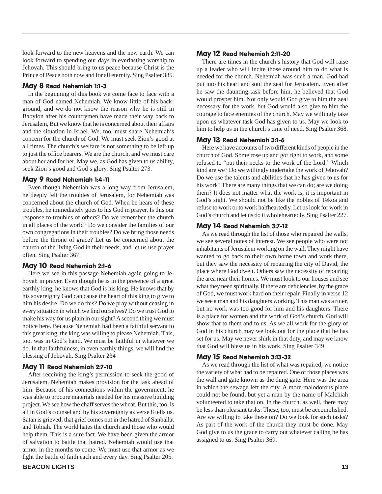look forward to the new heavens and the new earth. We can look forward to spending our days in everlasting worship to Jehovah. This should bring to us peace because Christ is the Prince of Peace both now and for all eternity. Sing Psalter 385.

#### May 8 Read Nehemiah 1:1-3

In the beginning of this book we come face to face with a man of God named Nehemiah. We know little of his background, and we do not know the reason why he is still in Babylon after his countrymen have made their way back to Jerusalem, But we know that he is concerned about their affairs and the situation in Israel. We, too, must share Nehemiah's concern for the church of God. We must seek Zion's good at all times. The church's welfare is not something to be left up to just the office bearers. We are the church, and we must care about her and for her. May we, as God has given to us ability, seek Zion's good and God's glory. Sing Psalter 273.

#### May 9 Read Nehemiah 1:4-11

Even though Nehemiah was a long way from Jerusalem, he deeply felt the troubles of Jerusalem, for Nehemiah was concerned about the church of God. When he hears of these troubles, he immediately goes to his God in prayer. Is this our response to troubles of others? Do we remember the church in all places of the world? Do we consider the families of our own congregations in their troubles? Do we bring those needs before the throne of grace? Let us be concerned about the church of the living God in their needs, and let us use prayer often. Sing Psalter 367.

#### May 10 Read Nehemiah 2:1-6

Here we see in this passage Nehemiah again going to Jehovah in prayer. Even though he is in the presence of a great earthly king, he knows that God is his king. He knows that by his sovereignty God can cause the heart of this king to give to him his desire. Do we do this? Do we pray without ceasing in every situation in which we find ourselves? Do we trust God to make his way for us plain in our sight? A second thing we must notice here. Because Nehemiah had been a faithful servant to this great king, the king was willing to please Nehemiah. This, too, was in God's hand. We must be faithful in whatever we do. In that faithfulness, in even earthly things, we will find the blessing of Jehovah. Sing Psalter 234

#### May 11 Read Nehemiah 2:7-10

After receiving the king's permission to seek the good of Jerusalem, Nehemiah makes provision for the task ahead of him. Because of his connections within the government, he was able to procure materials needed for his massive building project. We see how the chaff serves the wheat. But this, too, is all in God's counsel and by his sovereignty as verse 8 tells us. Satan is grieved; that grief comes out in the hatred of Sanballat and Tobiah. The world hates the church and those who would help them. This is a sure fact. We have been given the armor of salvation to battle that hatred. Nehemiah would use that armor in the months to come. We must use that armor as we fight the battle of faith each and every day. Sing Psalter 205.

#### May 12 Read Nehemiah 2:11-20

There are times in the church's history that God will raise up a leader who will incite those around him to do what is needed for the church. Nehemiah was such a man. God had put into his heart and soul the zeal for Jerusalem. Even after he saw the daunting task before him, he believed that God would prosper him. Not only would God give to him the zeal necessary for the work, but God would also give to him the courage to face enemies of the church. May we willingly take upon us whatever task God has given to us. May we look to him to help us in the church's time of need. Sing Psalter 368.

#### May 13 Read Nehemiah 3:1-6

Here we have accounts of two different kinds of people in the church of God. Some rose up and got right to work, and some refused to "put their necks to the work of the Lord." Which kind are we? Do we willingly undertake the work of Jehovah? Do we use the talents and abilities that he has given to us for his work? There are many things that we can do; are we doing them? It does not matter what the work is; it is important in God's sight. We should not be like the nobles of Tekoa and refuse to work or to work halfheartedly. Let us look for work in God's church and let us do it wholeheartedly. Sing Psalter 227.

#### May 14 Read Nehemiah 3:7-12

As we read through the list of those who repaired the walls, we see several notes of interest. We see people who were not inhabitants of Jerusalem working on the wall. They might have wanted to go back to their own home town and work there, but they saw the necessity of repairing the city of David, the place where God dwelt. Others saw the necessity of repairing the area near their homes. We must look to our houses and see what they need spiritually. If there are deficiencies, by the grace of God, we must work hard on their repair. Finally in verse 12 we see a man and his daughters working. This man was a ruler, but no work was too good for him and his daughters. There is a place for women and the work of God's church. God will show that to them and to us. As we all work for the glory of God in his church may we look out for the place that he has set for us. May we never shirk in that duty, and may we know that God will bless us in his work. Sing Psalter 349

#### May 15 Read Nehemiah 3:13-32

As we read through the list of what was repaired, we notice the variety of what had to be repaired. One of those places was the wall and gate known as the dung gate. Here was the area in which the sewage left the city. A more malodorous place could not be found, but yet a man by the name of Malchiah volunteered to take that on. In the church, as well, there may be less than pleasant tasks. These, too, must be accomplished. Are we willing to take these on? Do we look for such tasks? As part of the work of the church they must be done. May God give to us the grace to carry out whatever calling he has assigned to us. Sing Psalter 369.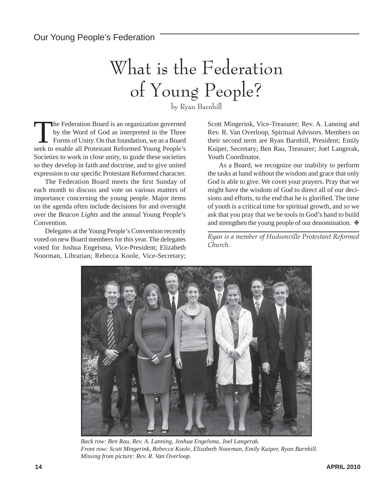# What is the Federation of Young People?

by Ryan Barnhill

The Federation Board is an organization governed<br>by the Word of God as interpreted in the Three<br>Forms of Unity. On that foundation, we as a Board<br>seek to enable all Protectant Boformed Young Boople's by the Word of God as interpreted in the Three seek to enable all Protestant Reformed Young People's Societies to work in close unity, to guide these societies so they develop in faith and doctrine, and to give united expression to our specific Protestant Reformed character.

The Federation Board meets the first Sunday of each month to discuss and vote on various matters of importance concerning the young people. Major items on the agenda often include decisions for and oversight over the *Beacon Lights* and the annual Young People's Convention.

Delegates at the Young People's Convention recently voted on new Board members for this year. The delegates voted for Joshua Engelsma, Vice-President; Elizabeth Noorman, Librarian; Rebecca Koole, Vice-Secretary;

Scott Mingerink, Vice-Treasurer; Rev. A. Lanning and Rev. R. Van Overloop, Spiritual Advisors. Members on their second term are Ryan Barnhill, President; Emily Kuiper, Secretary; Ben Rau, Treasurer; Joel Langerak, Youth Coordinator.

As a Board, we recognize our inability to perform the tasks at hand without the wisdom and grace that only God is able to give. We covet your prayers. Pray that we might have the wisdom of God to direct all of our decisions and efforts, to the end that he is glorified. The time of youth is a critical time for spiritual growth, and so we ask that you pray that we be tools in God's hand to build and strengthen the young people of our denomination. ❖

*Ryan is a member of Hudsonville Protestant Reformed Church.*



*Back row: Ben Rau, Rev. A. Lanning, Joshua Engelsma, Joel Langerak. Front row: Scott Mingerink, Rebecca Koole, Elizabeth Noorman, Emily Kuiper, Ryan Barnhill. Missing from picture: Rev. R. Van Overloop.*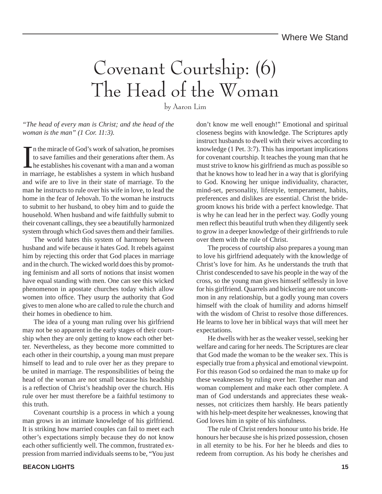## Covenant Courtship: (6) The Head of the Woman

by Aaron Lim

*"The head of every man is Christ; and the head of the woman is the man" (1 Cor. 11:3).*

I is the miracle of God's work of salvation, he promises<br>to save families and their generations after them. As<br>the establishes his covenant with a man and a woman<br>in mergiage, he establishes a system in which husband n the miracle of God's work of salvation, he promises to save families and their generations after them. As in marriage, he establishes a system in which husband and wife are to live in their state of marriage. To the man he instructs to rule over his wife in love, to lead the home in the fear of Jehovah. To the woman he instructs to submit to her husband, to obey him and to guide the household. When husband and wife faithfully submit to their covenant callings, they see a beautifully harmonized system through which God saves them and their families.

The world hates this system of harmony between husband and wife because it hates God. It rebels against him by rejecting this order that God places in marriage and in the church. The wicked world does this by promoting feminism and all sorts of notions that insist women have equal standing with men. One can see this wicked phenomenon in apostate churches today which allow women into office. They usurp the authority that God gives to men alone who are called to rule the church and their homes in obedience to him.

The idea of a young man ruling over his girlfriend may not be so apparent in the early stages of their courtship when they are only getting to know each other better. Nevertheless, as they become more committed to each other in their courtship, a young man must prepare himself to lead and to rule over her as they prepare to be united in marriage. The responsibilities of being the head of the woman are not small because his headship is a reflection of Christ's headship over the church. His rule over her must therefore be a faithful testimony to this truth.

Covenant courtship is a process in which a young man grows in an intimate knowledge of his girlfriend. It is striking how married couples can fail to meet each other's expectations simply because they do not know each other sufficiently well. The common, frustrated expression from married individuals seems to be, "You just don't know me well enough!" Emotional and spiritual closeness begins with knowledge. The Scriptures aptly instruct husbands to dwell with their wives according to knowledge (1 Pet. 3:7). This has important implications for covenant courtship. It teaches the young man that he must strive to know his girlfriend as much as possible so that he knows how to lead her in a way that is glorifying to God. Knowing her unique individuality, character, mind-set, personality, lifestyle, temperament, habits, preferences and dislikes are essential. Christ the bridegroom knows his bride with a perfect knowledge. That is why he can lead her in the perfect way. Godly young men reflect this beautiful truth when they diligently seek to grow in a deeper knowledge of their girlfriends to rule over them with the rule of Christ.

The process of courtship also prepares a young man to love his girlfriend adequately with the knowledge of Christ's love for him. As he understands the truth that Christ condescended to save his people in the way of the cross, so the young man gives himself selflessly in love for his girlfriend. Quarrels and bickering are not uncommon in any relationship, but a godly young man covers himself with the cloak of humility and adorns himself with the wisdom of Christ to resolve those differences. He learns to love her in biblical ways that will meet her expectations.

He dwells with her as the weaker vessel, seeking her welfare and caring for her needs. The Scriptures are clear that God made the woman to be the weaker sex. This is especially true from a physical and emotional viewpoint. For this reason God so ordained the man to make up for these weaknesses by ruling over her. Together man and woman complement and make each other complete. A man of God understands and appreciates these weaknesses, not criticizes them harshly. He bears patiently with his help-meet despite her weaknesses, knowing that God loves him in spite of his sinfulness.

The rule of Christ renders honour unto his bride. He honours her because she is his prized possession, chosen in all eternity to be his. For her he bleeds and dies to redeem from corruption. As his body he cherishes and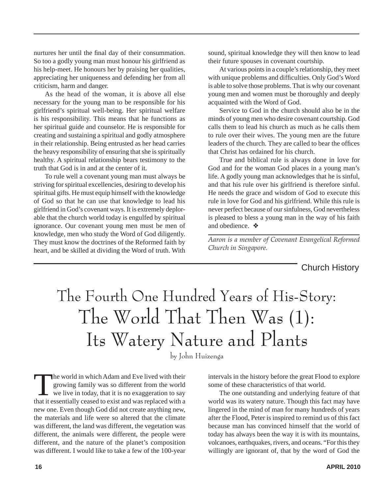nurtures her until the final day of their consummation. So too a godly young man must honour his girlfriend as his help-meet. He honours her by praising her qualities, appreciating her uniqueness and defending her from all criticism, harm and danger.

As the head of the woman, it is above all else necessary for the young man to be responsible for his girlfriend's spiritual well-being. Her spiritual welfare is his responsibility. This means that he functions as her spiritual guide and counselor. He is responsible for creating and sustaining a spiritual and godly atmosphere in their relationship. Being entrusted as her head carries the heavy responsibility of ensuring that she is spiritually healthy. A spiritual relationship bears testimony to the truth that God is in and at the center of it.

To rule well a covenant young man must always be striving for spiritual excellencies, desiring to develop his spiritual gifts. He must equip himself with the knowledge of God so that he can use that knowledge to lead his girlfriend in God's covenant ways. It is extremely deplorable that the church world today is engulfed by spiritual ignorance. Our covenant young men must be men of knowledge, men who study the Word of God diligently. They must know the doctrines of the Reformed faith by heart, and be skilled at dividing the Word of truth. With

sound, spiritual knowledge they will then know to lead their future spouses in covenant courtship.

At various points in a couple's relationship, they meet with unique problems and difficulties. Only God's Word is able to solve those problems. That is why our covenant young men and women must be thoroughly and deeply acquainted with the Word of God.

Service to God in the church should also be in the minds of young men who desire covenant courtship. God calls them to lead his church as much as he calls them to rule over their wives. The young men are the future leaders of the church. They are called to bear the offices that Christ has ordained for his church.

True and biblical rule is always done in love for God and for the woman God places in a young man's life. A godly young man acknowledges that he is sinful, and that his rule over his girlfriend is therefore sinful. He needs the grace and wisdom of God to execute this rule in love for God and his girlfriend. While this rule is never perfect because of our sinfulness, God nevertheless is pleased to bless a young man in the way of his faith and obedience. ❖

*Aaron is a member of Covenant Evangelical Reformed Church in Singapore.*

Church History

## The Fourth One Hundred Years of His-Story: The World That Then Was (1): Its Watery Nature and Plants

by John Huizenga

The world in which Adam and Eve lived with their<br>
growing family was so different from the world<br>
we live in today, that it is no exaggeration to say<br>
that it assembled with a growing family was so different from the world that it essentially ceased to exist and was replaced with a new one. Even though God did not create anything new, the materials and life were so altered that the climate was different, the land was different, the vegetation was different, the animals were different, the people were different, and the nature of the planet's composition was different. I would like to take a few of the 100-year

intervals in the history before the great Flood to explore some of these characteristics of that world.

The one outstanding and underlying feature of that world was its watery nature. Though this fact may have lingered in the mind of man for many hundreds of years after the Flood, Peter is inspired to remind us of this fact because man has convinced himself that the world of today has always been the way it is with its mountains, volcanoes, earthquakes, rivers, and oceans. "For this they willingly are ignorant of, that by the word of God the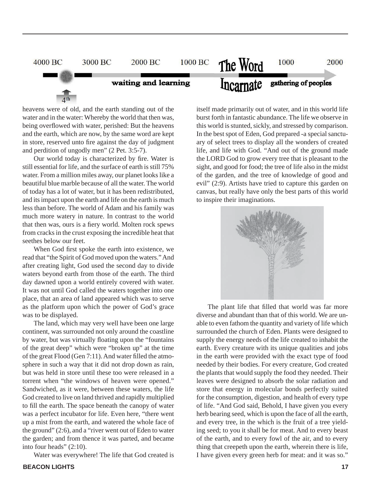

heavens were of old, and the earth standing out of the water and in the water: Whereby the world that then was, being overflowed with water, perished: But the heavens and the earth, which are now, by the same word are kept in store, reserved unto fire against the day of judgment and perdition of ungodly men" (2 Pet. 3:5-7).

Our world today is characterized by fire. Water is still essential for life, and the surface of earth is still 75% water. From a million miles away, our planet looks like a beautiful blue marble because of all the water. The world of today has a lot of water, but it has been redistributed, and its impact upon the earth and life on the earth is much less than before. The world of Adam and his family was much more watery in nature. In contrast to the world that then was, ours is a fiery world. Molten rock spews from cracks in the crust exposing the incredible heat that seethes below our feet.

When God first spoke the earth into existence, we read that "the Spirit of God moved upon the waters." And after creating light, God used the second day to divide waters beyond earth from those of the earth. The third day dawned upon a world entirely covered with water. It was not until God called the waters together into one place, that an area of land appeared which was to serve as the platform upon which the power of God's grace was to be displayed.

The land, which may very well have been one large continent, was surrounded not only around the coastline by water, but was virtually floating upon the "fountains" of the great deep" which were "broken up" at the time of the great Flood (Gen 7:11). And water filled the atmosphere in such a way that it did not drop down as rain, but was held in store until these too were released in a torrent when "the windows of heaven were opened." Sandwiched, as it were, between these waters, the life God created to live on land thrived and rapidly multiplied to fill the earth. The space beneath the canopy of water was a perfect incubator for life. Even here, "there went up a mist from the earth, and watered the whole face of the ground" (2:6), and a "river went out of Eden to water the garden; and from thence it was parted, and became into four heads" (2:10).

Water was everywhere! The life that God created is

itself made primarily out of water, and in this world life burst forth in fantastic abundance. The life we observe in this world is stunted, sickly, and stressed by comparison. In the best spot of Eden, God prepared -a special sanctuary of select trees to display all the wonders of created life, and life with God. "And out of the ground made the LORD God to grow every tree that is pleasant to the sight, and good for food; the tree of life also in the midst of the garden, and the tree of knowledge of good and evil" (2:9). Artists have tried to capture this garden on canvas, but really have only the best parts of this world to inspire their imaginations.



The plant life that filled that world was far more diverse and abundant than that of this world. We are unable to even fathom the quantity and variety of life which surrounded the church of Eden. Plants were designed to supply the energy needs of the life created to inhabit the earth. Every creature with its unique qualities and jobs in the earth were provided with the exact type of food needed by their bodies. For every creature, God created the plants that would supply the food they needed. Their leaves were designed to absorb the solar radiation and store that energy in molecular bonds perfectly suited for the consumption, digestion, and health of every type of life. "And God said, Behold, I have given you every herb bearing seed, which is upon the face of all the earth, and every tree, in the which is the fruit of a tree yielding seed; to you it shall be for meat. And to every beast of the earth, and to every fowl of the air, and to every thing that creepeth upon the earth, wherein there is life, I have given every green herb for meat: and it was so."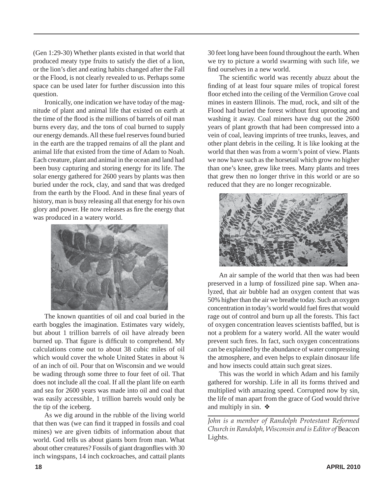(Gen 1:29-30) Whether plants existed in that world that produced meaty type fruits to satisfy the diet of a lion, or the lion's diet and eating habits changed after the Fall or the Flood, is not clearly revealed to us. Perhaps some space can be used later for further discussion into this question.

Ironically, one indication we have today of the magnitude of plant and animal life that existed on earth at the time of the flood is the millions of barrels of oil man burns every day, and the tons of coal burned to supply our energy demands. All these fuel reserves found buried in the earth are the trapped remains of all the plant and animal life that existed from the time of Adam to Noah. Each creature, plant and animal in the ocean and land had been busy capturing and storing energy for its life. The solar energy gathered for 2600 years by plants was then buried under the rock, clay, and sand that was dredged from the earth by the Flood. And in these final years of history, man is busy releasing all that energy for his own glory and power. He now releases as fire the energy that was produced in a watery world.



The known quantities of oil and coal buried in the earth boggles the imagination. Estimates vary widely, but about 1 trillion barrels of oil have already been burned up. That figure is difficult to comprehend. My calculations come out to about 38 cubic miles of oil which would cover the whole United States in about  $\frac{3}{4}$ of an inch of oil. Pour that on Wisconsin and we would be wading through some three to four feet of oil. That does not include all the coal. If all the plant life on earth and sea for 2600 years was made into oil and coal that was easily accessible, 1 trillion barrels would only be the tip of the iceberg.

As we dig around in the rubble of the living world that then was (we can find it trapped in fossils and coal mines) we are given tidbits of information about that world. God tells us about giants born from man. What about other creatures? Fossils of giant dragonflies with 30 inch wingspans, 14 inch cockroaches, and cattail plants

30 feet long have been found throughout the earth. When we try to picture a world swarming with such life, we find ourselves in a new world.

The scientific world was recently abuzz about the finding of at least four square miles of tropical forest floor etched into the ceiling of the Vermilion Grove coal mines in eastern Illinois. The mud, rock, and silt of the Flood had buried the forest without first uprooting and washing it away. Coal miners have dug out the 2600 years of plant growth that had been compressed into a vein of coal, leaving imprints of tree trunks, leaves, and other plant debris in the ceiling. It is like looking at the world that then was from a worm's point of view. Plants we now have such as the horsetail which grow no higher than one's knee, grew like trees. Many plants and trees that grew then no longer thrive in this world or are so reduced that they are no longer recognizable.



An air sample of the world that then was had been preserved in a lump of fossilized pine sap. When analyzed, that air bubble had an oxygen content that was 50% higher than the air we breathe today. Such an oxygen concentration in today's world would fuel fires that would rage out of control and burn up all the forests. This fact of oxygen concentration leaves scientists baffled, but is not a problem for a watery world. All the water would prevent such fires. In fact, such oxygen concentrations can be explained by the abundance of water compressing the atmosphere, and even helps to explain dinosaur life and how insects could attain such great sizes.

This was the world in which Adam and his family gathered for worship. Life in all its forms thrived and multiplied with amazing speed. Corrupted now by sin, the life of man apart from the grace of God would thrive and multiply in sin. ❖

*John is a member of Randolph Protestant Reformed Church in Randolph, Wisconsin and is Editor of* Beacon Lights.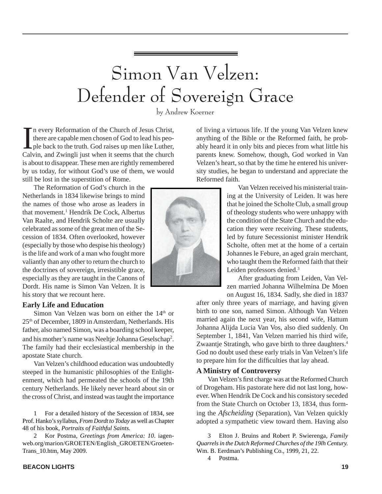## Simon Van Velzen: Defender of Sovereign Grace

by Andrew Koerner

In every Reformation of the Church of Jesus Christ,<br>there are capable men chosen of God to lead his peo-<br>ple back to the truth. God raises up men like Luther,<br>Calvin, and Zwingli just when it seems that the church n every Reformation of the Church of Jesus Christ, there are capable men chosen of God to lead his people back to the truth. God raises up men like Luther, is about to disappear. These men are rightly remembered by us today, for without God's use of them, we would still be lost in the superstition of Rome.

The Reformation of God's church in the Netherlands in 1834 likewise brings to mind the names of those who arose as leaders in that movement.<sup>1</sup> Hendrik De Cock, Albertus Van Raalte, and Hendrik Scholte are usually celebrated as some of the great men of the Secession of 1834. Often overlooked, however (especially by those who despise his theology) is the life and work of a man who fought more valiantly than any other to return the church to the doctrines of sovereign, irresistible grace, especially as they are taught in the Canons of Dordt. His name is Simon Van Velzen. It is his story that we recount here.

#### **Early Life and Education**

Simon Van Velzen was born on either the  $14<sup>th</sup>$  or 25th of December, 1809 in Amsterdam, Netherlands. His father, also named Simon, was a boarding school keeper, and his mother's name was Neeltje Johanna Geselschap<sup>2</sup>. The family had their ecclesiastical membership in the apostate State church.

Van Velzen's childhood education was undoubtedly steeped in the humanistic philosophies of the Enlightenment, which had permeated the schools of the 19th century Netherlands. He likely never heard about sin or the cross of Christ, and instead was taught the importance

1 For a detailed history of the Secession of 1834, see Prof. Hanko's syllabus, *From Dordt to Today* as well as Chapter 48 of his book, *Portraits of Faithful Saints.*

2 Kor Postma, *Greetings from America: 10*. iagenweb.org/marion/GROETEN/English\_GROETEN/Groeten-Trans\_10.htm, May 2009.

of living a virtuous life. If the young Van Velzen knew anything of the Bible or the Reformed faith, he probably heard it in only bits and pieces from what little his parents knew. Somehow, though, God worked in Van Velzen's heart, so that by the time he entered his university studies, he began to understand and appreciate the Reformed faith.

Van Velzen received his ministerial training at the University of Leiden. It was here that he joined the Scholte Club, a small group of theology students who were unhappy with the condition of the State Church and the education they were receiving. These students, led by future Secessionist minister Hendrik Scholte, often met at the home of a certain Johannes le Febure, an aged grain merchant, who taught them the Reformed faith that their Leiden professors denied.<sup>3</sup>

After graduating from Leiden, Van Velzen married Johanna Wilhelmina De Moen on August 16, 1834. Sadly, she died in 1837

after only three years of marriage, and having given birth to one son, named Simon. Although Van Velzen married again the next year, his second wife, Hattum Johanna Alijda Lucia Van Vos, also died suddenly. On September 1, 1841, Van Velzen married his third wife, Zwaantje Stratingh, who gave birth to three daughters.<sup>4</sup> God no doubt used these early trials in Van Velzen's life to prepare him for the difficulties that lay ahead.

#### **A Ministry of Controversy**

Van Velzen's first charge was at the Reformed Church of Drogeham. His pastorate here did not last long, however. When Hendrik De Cock and his consistory seceded from the State Church on October 13, 1834, thus forming the *Afscheiding* (Separation), Van Velzen quickly adopted a sympathetic view toward them. Having also

3 Elton J. Bruins and Robert P. Swierenga, *Family Quarrels in the Dutch Reformed Churches of the 19lh Century.* Wm. B. Eerdman's Publishing Co., 1999, 21, 22.

4 Postma.

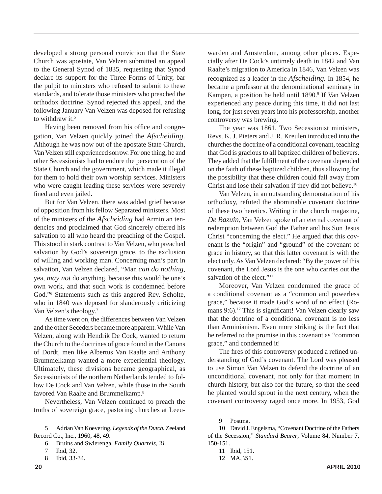developed a strong personal conviction that the State Church was apostate, Van Velzen submitted an appeal to the General Synod of 1835, requesting that Synod declare its support for the Three Forms of Unity, bar the pulpit to ministers who refused to submit to these standards, and tolerate those ministers who preached the orthodox doctrine. Synod rejected this appeal, and the following January Van Velzen was deposed for refusing to withdraw it.<sup>5</sup>

Having been removed from his office and congregation, Van Velzen quickly joined the *Afscheiding.* Although he was now out of the apostate State Church, Van Velzen still experienced sorrow. For one thing, he and other Secessionists had to endure the persecution of the State Church and the government, which made it illegal for them to hold their own worship services. Ministers who were caught leading these services were severely fined and even jailed.

But for Van Velzen, there was added grief because of opposition from his fellow Separated ministers. Most of the ministers of the *Afscheiding* had Arminian tendencies and proclaimed that God sincerely offered his salvation to all who heard the preaching of the Gospel. This stood in stark contrast to Van Velzen, who preached salvation by God's sovereign grace, to the exclusion of willing and working man. Concerning man's part in salvation, Van Velzen declared, "Man *can do nothing*, yea, *may not* do anything, because this would be one's own work, and that such work is condemned before God."6 Statements such as this angered Rev. Scholte, who in 1840 was deposed for slanderously criticizing Van Velzen's theology.7

As time went on, the differences between Van Velzen and the other Seceders became more apparent. While Van Velzen, along with Hendrik De Cock, wanted to return the Church to the doctrines of grace found in the Canons of Dordt, men like Albertus Van Raalte and Anthony Brummelkamp wanted a more experiential theology. Ultimately, these divisions became geographical, as Secessionists of the northern Netherlands tended to follow De Cock and Van Velzen, while those in the South favored Van Raalte and Brummelkamp.8

Nevertheless, Van Velzen continued to preach the truths of sovereign grace, pastoring churches at Leeu-

5 Adrian Van Koevering, *Legends of the Dutch.* Zeeland Record Co., Inc., 1960, 48, 49.

6 Bruins and Swierenga, *Family Quarrels, 31*.

- 7 Ibid, 32.
- 8 Ibid, 33-34.

warden and Amsterdam, among other places. Especially after De Cock's untimely death in 1842 and Van Raalte's migration to America in 1846, Van Velzen was recognized as a leader in the *Afscheiding.* In 1854, he became a professor at the denominational seminary in Kampen, a position he held until 1890.<sup>9</sup> If Van Velzen experienced any peace during this time, it did not last long, for just seven years into his professorship, another controversy was brewing.

The year was 1861. Two Secessionist ministers, Revs. K. J. Pieters and J. R. Kreulen introduced into the churches the doctrine of a conditional covenant, teaching that God is gracious to all baptized children of believers. They added that the fulfillment of the covenant depended on the faith of these baptized children, thus allowing for the possibility that these children could fall away from Christ and lose their salvation if they did not believe.<sup>10</sup>

Van Velzen, in an outstanding demonstration of his orthodoxy, refuted the abominable covenant doctrine of these two heretics. Writing in the church magazine, *De Bazuin,* Van Velzen spoke of an eternal covenant of redemption between God the Father and his Son Jesus Christ "concerning the elect." He argued that this covenant is the "origin" and "ground" of the covenant of grace in history, so that this latter covenant is with the elect only. As Van Velzen declared: "By the power of this covenant, the Lord Jesus is the one who carries out the salvation of the elect."<sup>11</sup>

Moreover, Van Velzen condemned the grace of a conditional covenant as a "common and powerless grace," because it made God's word of no effect (Romans 9:6).<sup>12</sup> This is significant! Van Velzen clearly saw that the doctrine of a conditional covenant is no less than Arminianism. Even more striking is the fact that he referred to the promise in this covenant as "common grace," and condemned it!

The fires of this controversy produced a refined understanding of God's covenant. The Lord was pleased to use Simon Van Velzen to defend the doctrine of an unconditional covenant, not only for that moment in church history, but also for the future, so that the seed he planted would sprout in the next century, when the covenant controversy raged once more. In 1953, God

11 Ibid, 151.

<sup>9</sup> Postma.

<sup>10</sup> David J. Engelsma, "Covenant Doctrine of the Fathers of the Secession," *Standard Bearer*, Volume 84, Number 7, 150-151.

<sup>12</sup> MA, \S1.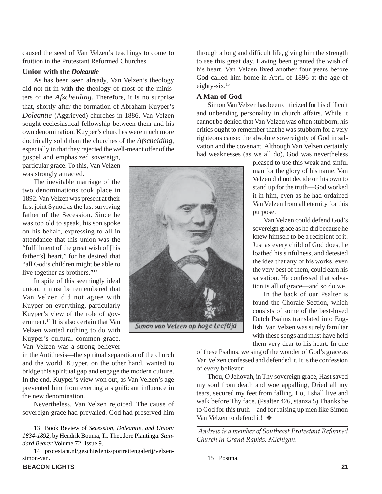caused the seed of Van Velzen's teachings to come to fruition in the Protestant Reformed Churches.

#### **Union with the** *Doleantie*

As has been seen already, Van Velzen's theology did not fit in with the theology of most of the ministers of the *Afscheiding.* Therefore, it is no surprise that, shortly after the formation of Abraham Kuyper's *Doleantie* (Aggrieved) churches in 1886, Van Velzen sought ecclesiastical fellowship between them and his own denomination. Kuyper's churches were much more doctrinally solid than the churches of the *Afscheiding*, especially in that they rejected the well-meant offer of the

gospel and emphasized sovereign, particular grace. To this, Van Velzen was strongly attracted.

The inevitable marriage of the two denominations took place in 1892. Van Velzen was present at their first joint Synod as the last surviving father of the Secession. Since he was too old to speak, his son spoke on his behalf, expressing to all in attendance that this union was the "fulfillment of the great wish of [his father's] heart," for he desired that "all God's children might be able to live together as brothers."13

In spite of this seemingly ideal union, it must be remembered that Van Velzen did not agree with Kuyper on everything, particularly Kuyper's view of the role of government.14 It is also certain that Van Velzen wanted nothing to do with Kuyper's cultural common grace. Van Velzen was a strong believer

in the Antithesis—the spiritual separation of the church and the world. Kuyper, on the other hand, wanted to bridge this spiritual gap and engage the modern culture. In the end, Kuyper's view won out, as Van Velzen's age prevented him from exerting a significant influence in the new denomination.

Nevertheless, Van Velzen rejoiced. The cause of sovereign grace had prevailed. God had preserved him

13 Book Review of *Secession, Doleantie, and Union: 1834-1892*, by Hendrik Bouma, Tr. Theodore Plantinga. *Standard Bearer* Volume 72, Issue 9.

14 protestant.nl/geschiedenis/portrettengalerij/velzensimon-van.

through a long and difficult life, giving him the strength to see this great day. Having been granted the wish of his heart, Van Velzen lived another four years before God called him home in April of 1896 at the age of eighty-six.15

#### **A Man of God**

Simon Van Velzen has been criticized for his difficult and unbending personality in church affairs. While it cannot be denied that Van Velzen was often stubborn, his critics ought to remember that he was stubborn for a very righteous cause: the absolute sovereignty of God in salvation and the covenant. Although Van Velzen certainly had weaknesses (as we all do), God was nevertheless

> pleased to use this weak and sinful man for the glory of his name. Van Velzen did not decide on his own to stand up for the truth—God worked it in him, even as he had ordained Van Velzen from all eternity for this purpose.

> Van Velzen could defend God's sovereign grace as he did because he knew himself to be a recipient of it. Just as every child of God does, he loathed his sinfulness, and detested the idea that any of his works, even the very best of them, could earn his salvation. He confessed that salvation is all of grace—and so do we.

> In the back of our Psalter is found the Chorale Section, which consists of some of the best-loved Dutch Psalms translated into English. Van Velzen was surely familiar with these songs and must have held them very dear to his heart. In one

of these Psalms, we sing of the wonder of God's grace as Van Velzen confessed and defended it. It is the confession of every believer:

Thou, O Jehovah, in Thy sovereign grace, Hast saved my soul from death and woe appalling, Dried all my tears, secured my feet from falling. Lo, I shall live and walk before Thy face. (Psalter 426, stanza 5) Thanks be to God for this truth—and for raising up men like Simon Van Velzen to defend it! ❖

 *Andrew is a member of Southeast Protestant Reformed Church in Grand Rapids, Michigan.*

15 Postma.

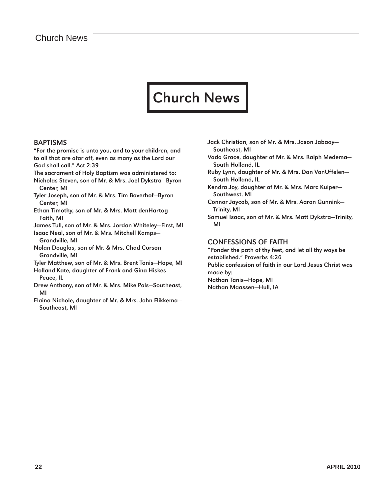### Church News

#### BAPTISMS

"For the promise is unto you, and to your children, and to all that are afar off, even as many as the Lord our God shall call." Act 2:39

- The sacrament of Holy Baptism was administered to:
- Nicholas Steven, son of Mr. & Mrs. Joel Dykstra—Byron Center, MI
- Tyler Joseph, son of Mr. & Mrs. Tim Boverhof—Byron Center, MI

Ethan Timothy, son of Mr. & Mrs. Matt denHartog— Faith, MI

James Tull, son of Mr. & Mrs. Jordan Whiteley—First, MI Isaac Neal, son of Mr. & Mrs. Mitchell Kamps—

Grandville, MI

Nolan Douglas, son of Mr. & Mrs. Chad Corson— Grandville, MI

Tyler Matthew, son of Mr. & Mrs. Brent Tanis—Hope, MI

- Holland Kate, daughter of Frank and Gina Hiskes— Peace, IL
- Drew Anthony, son of Mr. & Mrs. Mike Pols—Southeast, MI
- Elaina Nichole, daughter of Mr. & Mrs. John Flikkema— Southeast, MI
- Jack Christian, son of Mr. & Mrs. Jason Jabaay— Southeast, MI
- Vada Grace, daughter of Mr. & Mrs. Ralph Medema— South Holland, IL
- Ruby Lynn, daughter of Mr. & Mrs. Dan VanUffelen— South Holland, IL
- Kendra Joy, daughter of Mr. & Mrs. Marc Kuiper— Southwest, MI
- Connor Jaycob, son of Mr. & Mrs. Aaron Gunnink— Trinity, MI
- Samuel Isaac, son of Mr. & Mrs. Matt Dykstra—Trinity, MI

#### CONFESSIONS OF FAITH

"Ponder the path of thy feet, and let all thy ways be established." Proverbs 4:26 Public confession of faith in our Lord Jesus Christ was

made by:

Nathan Tanis—Hope, MI Nathan Maassen—Hull, IA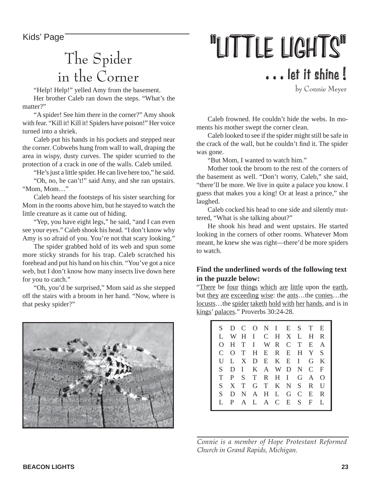### The Spider in the Corner

"Help! Help!" yelled Amy from the basement. Her brother Caleb ran down the steps. "What's the matter?"

"A spider! See him there in the corner?" Amy shook with fear. "Kill it! Kill it! Spiders have poison!" Her voice turned into a shriek.

Caleb put his hands in his pockets and stepped near the corner. Cobwebs hung from wall to wall, draping the area in wispy, dusty curves. The spider scurried to the protection of a crack in one of the walls. Caleb smiled.

"He's just a little spider. He can live here too," he said. "Oh, no, he can't!" said Amy, and she ran upstairs. "Mom, Mom…"

Caleb heard the footsteps of his sister searching for Mom in the rooms above him, but he stayed to watch the little creature as it came out of hiding.

"Yep, you have eight legs," he said, "and I can even" see your eyes." Caleb shook his head. "I don't know why Amy is so afraid of you. You're not that scary looking."

The spider grabbed hold of its web and spun some more sticky strands for his trap. Caleb scratched his forehead and put his hand on his chin. "You've got a nice web, but I don't know how many insects live down here for you to catch."

"Oh, you'd be surprised," Mom said as she stepped off the stairs with a broom in her hand. "Now, where is that pesky spider?"



# Kids' Page  $\frac{1}{T^1}$   $\frac{1}{T^2}$   $\frac{1}{T^2}$   $\frac{1}{T^2}$   $\frac{1}{T^2}$   $\frac{1}{T^2}$   $\frac{1}{T^2}$   $\frac{1}{T^2}$   $\frac{1}{T^2}$   $\frac{1}{T^2}$   $\frac{1}{T^2}$   $\frac{1}{T^2}$   $\frac{1}{T^2}$   $\frac{1}{T^2}$   $\frac{1}{T^2}$   $\frac{1}{T^2}$   $\frac{1}{T^2}$   $\frac{1}{$ . . . let it shine !

by Connie Meyer

Caleb frowned. He couldn't hide the webs. In moments his mother swept the corner clean.

Caleb looked to see if the spider might still be safe in the crack of the wall, but he couldn't find it. The spider was gone.

"But Mom, I wanted to watch him."

Mother took the broom to the rest of the corners of the basement as well. "Don't worry, Caleb," she said, "there'll be more. We live in quite a palace you know. I guess that makes you a king! Or at least a prince," she laughed.

Caleb cocked his head to one side and silently muttered, "What is she talking about?"

He shook his head and went upstairs. He started looking in the corners of other rooms. Whatever Mom meant, he knew she was right—there'd be more spiders to watch.

#### **Find the underlined words of the following text in the puzzle below:**

"There be four things which are little upon the earth, but they are exceeding wise: the ants…the conies…the locusts…the spider taketh hold with her hands, and is in kings' palaces." Proverbs 30:24-28.



*Connie is a member of Hope Protestant Reformed Church in Grand Rapids, Michigan.*